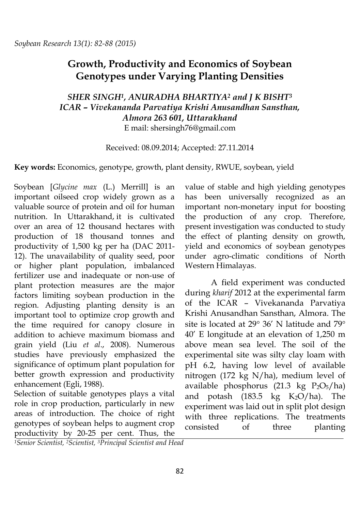# **Growth, Productivity and Economics of Soybean Genotypes under Varying Planting Densities**

## *SHER SINGH1, ANURADHA BHARTIYA<sup>2</sup> and J K BISHT<sup>3</sup> ICAR – Vivekananda Parvatiya Krishi Anusandhan Sansthan, Almora 263 601, Uttarakhand* E mail: shersingh76@gmail.com

Received: 08.09.2014; Accepted: 27.11.2014

**Key words:** Economics, genotype, growth, plant density, RWUE, soybean, yield

Soybean [*Glycine max* (L.) Merrill] is an important oilseed crop widely grown as a valuable source of protein and oil for human nutrition. In Uttarakhand, it is cultivated over an area of 12 thousand hectares with production of 18 thousand tonnes and productivity of 1,500 kg per ha (DAC 2011- 12). The unavailability of quality seed, poor or higher plant population, imbalanced fertilizer use and inadequate or non-use of plant protection measures are the major factors limiting soybean production in the region. Adjusting planting density is an important tool to optimize crop growth and the time required for canopy closure in addition to achieve maximum biomass and grain yield (Liu *et al*., 2008). Numerous studies have previously emphasized the significance of optimum plant population for better growth expression and productivity enhancement (Egli, 1988).

Selection of suitable genotypes plays a vital role in crop production, particularly in new areas of introduction. The choice of right genotypes of soybean helps to augment crop productivity by 20-25 per cent. Thus, the

value of stable and high yielding genotypes has been universally recognized as an important non-monetary input for boosting the production of any crop. Therefore, present investigation was conducted to study the effect of planting density on growth, yield and economics of soybean genotypes under agro-climatic conditions of North Western Himalayas.

A field experiment was conducted during *kharif* 2012 at the experimental farm of the ICAR – Vivekananda Parvatiya Krishi Anusandhan Sansthan, Almora. The site is located at  $29^{\circ}$  36' N latitude and 79 $^{\circ}$ 40' E longitude at an elevation of 1,250 m above mean sea level. The soil of the experimental site was silty clay loam with pH 6.2, having low level of available nitrogen (172 kg N/ha), medium level of available phosphorus (21.3 kg  $P_2O_5/ha$ ) and potash  $(183.5 \text{ kg } K_2\text{O/ha})$ . The experiment was laid out in split plot design with three replications. The treatments consisted of three planting

*1Senior Scientist, 2Scientist, 3Principal Scientist and Head*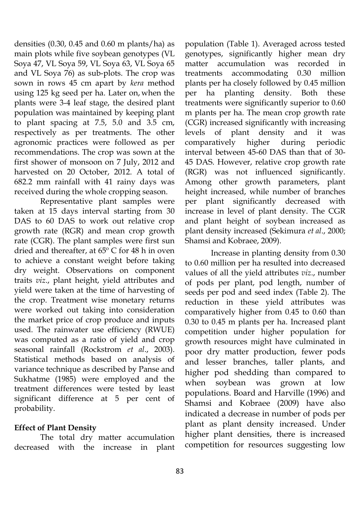densities  $(0.30, 0.45, and 0.60, m$  plants/ha) as main plots while five soybean genotypes (VL Soya 47, VL Soya 59, VL Soya 63, VL Soya 65 and VL Soya 76) as sub-plots. The crop was sown in rows 45 cm apart by *kera* method using 125 kg seed per ha. Later on, when the plants were 3-4 leaf stage, the desired plant population was maintained by keeping plant to plant spacing at 7.5, 5.0 and 3.5 cm, respectively as per treatments. The other agronomic practices were followed as per recommendations. The crop was sown at the first shower of monsoon on 7 July, 2012 and harvested on 20 October, 2012. A total of 682.2 mm rainfall with 41 rainy days was received during the whole cropping season.

Representative plant samples were taken at 15 days interval starting from 30 DAS to 60 DAS to work out relative crop growth rate (RGR) and mean crop growth rate (CGR). The plant samples were first sun dried and thereafter, at 65º C for 48 h in oven to achieve a constant weight before taking dry weight. Observations on component traits *viz*., plant height, yield attributes and yield were taken at the time of harvesting of the crop. Treatment wise monetary returns were worked out taking into consideration the market price of crop produce and inputs used. The rainwater use efficiency (RWUE) was computed as a ratio of yield and crop seasonal rainfall (Rockstrom *et al*., 2003). Statistical methods based on analysis of variance technique as described by Panse and Sukhatme (1985) were employed and the treatment differences were tested by least significant difference at 5 per cent of probability.

### **Effect of Plant Density**

The total dry matter accumulation decreased with the increase in plant

population (Table 1). Averaged across tested genotypes, significantly higher mean dry matter accumulation was recorded in treatments accommodating 0.30 million plants per ha closely followed by 0.45 million per ha planting density. Both these treatments were significantly superior to 0.60 m plants per ha. The mean crop growth rate (CGR) increased significantly with increasing levels of plant density and it was comparatively higher during periodic interval between 45-60 DAS than that of 30- 45 DAS. However, relative crop growth rate (RGR) was not influenced significantly. Among other growth parameters, plant height increased, while number of branches per plant significantly decreased with increase in level of plant density. The CGR and plant height of soybean increased as plant density increased (Sekimura *et al*., 2000; Shamsi and Kobraee, 2009).

Increase in planting density from 0.30 to 0.60 million per ha resulted into decreased values of all the yield attributes *viz*., number of pods per plant, pod length, number of seeds per pod and seed index (Table 2). The reduction in these yield attributes was comparatively higher from 0.45 to 0.60 than 0.30 to 0.45 m plants per ha. Increased plant competition under higher population for growth resources might have culminated in poor dry matter production, fewer pods and lesser branches, taller plants, and higher pod shedding than compared to when soybean was grown at low populations. Board and Harville (1996) and Shamsi and Kobraee (2009) have also indicated a decrease in number of pods per plant as plant density increased. Under higher plant densities, there is increased competition for resources suggesting low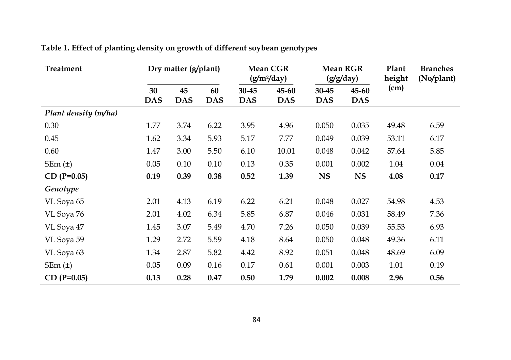| <b>Treatment</b>     | Dry matter (g/plant) |            | <b>Mean CGR</b><br>$(g/m^2/day)$ |            | <b>Mean RGR</b><br>(g/g/day) |            | Plant<br>height | <b>Branches</b><br>(No/plant) |      |
|----------------------|----------------------|------------|----------------------------------|------------|------------------------------|------------|-----------------|-------------------------------|------|
|                      | 30                   | 45         | 60                               | 30-45      | 45-60                        | 30-45      | 45-60           | (cm)                          |      |
|                      | <b>DAS</b>           | <b>DAS</b> | <b>DAS</b>                       | <b>DAS</b> | <b>DAS</b>                   | <b>DAS</b> | <b>DAS</b>      |                               |      |
| Plant density (m/ha) |                      |            |                                  |            |                              |            |                 |                               |      |
| 0.30                 | 1.77                 | 3.74       | 6.22                             | 3.95       | 4.96                         | 0.050      | 0.035           | 49.48                         | 6.59 |
| 0.45                 | 1.62                 | 3.34       | 5.93                             | 5.17       | 7.77                         | 0.049      | 0.039           | 53.11                         | 6.17 |
| 0.60                 | 1.47                 | 3.00       | 5.50                             | 6.10       | 10.01                        | 0.048      | 0.042           | 57.64                         | 5.85 |
| SEM(t)               | 0.05                 | 0.10       | 0.10                             | 0.13       | 0.35                         | 0.001      | 0.002           | 1.04                          | 0.04 |
| $CD (P=0.05)$        | 0.19                 | 0.39       | 0.38                             | 0.52       | 1.39                         | <b>NS</b>  | <b>NS</b>       | 4.08                          | 0.17 |
| Genotype             |                      |            |                                  |            |                              |            |                 |                               |      |
| VL Soya 65           | 2.01                 | 4.13       | 6.19                             | 6.22       | 6.21                         | 0.048      | 0.027           | 54.98                         | 4.53 |
| VL Soya 76           | 2.01                 | 4.02       | 6.34                             | 5.85       | 6.87                         | 0.046      | 0.031           | 58.49                         | 7.36 |
| VL Soya 47           | 1.45                 | 3.07       | 5.49                             | 4.70       | 7.26                         | 0.050      | 0.039           | 55.53                         | 6.93 |
| VL Soya 59           | 1.29                 | 2.72       | 5.59                             | 4.18       | 8.64                         | 0.050      | 0.048           | 49.36                         | 6.11 |
| VL Soya 63           | 1.34                 | 2.87       | 5.82                             | 4.42       | 8.92                         | 0.051      | 0.048           | 48.69                         | 6.09 |
| $SEm(\pm)$           | 0.05                 | 0.09       | 0.16                             | 0.17       | 0.61                         | 0.001      | 0.003           | 1.01                          | 0.19 |
| $CD (P=0.05)$        | 0.13                 | 0.28       | 0.47                             | 0.50       | 1.79                         | 0.002      | 0.008           | 2.96                          | 0.56 |

| Table 1. Effect of planting density on growth of different soybean genotypes |
|------------------------------------------------------------------------------|
|------------------------------------------------------------------------------|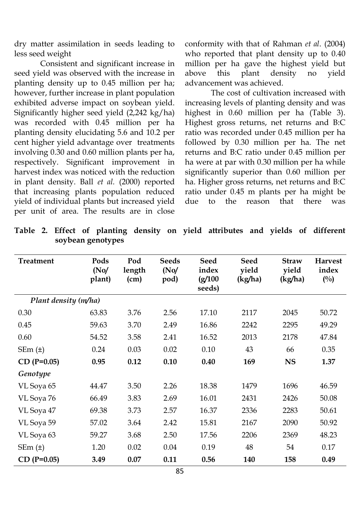dry matter assimilation in seeds leading to less seed weight

Consistent and significant increase in seed yield was observed with the increase in planting density up to 0.45 million per ha; however, further increase in plant population exhibited adverse impact on soybean yield. Significantly higher seed yield (2,242 kg/ha) was recorded with 0.45 million per ha planting density elucidating 5.6 and 10.2 per cent higher yield advantage over treatments involving 0.30 and 0.60 million plants per ha, respectively. Significant improvement in harvest index was noticed with the reduction in plant density. Ball *et al.* (2000) reported that increasing plants population reduced yield of individual plants but increased yield per unit of area. The results are in close

conformity with that of Rahman *et al*. (2004) who reported that plant density up to 0.40 million per ha gave the highest yield but above this plant density no yield advancement was achieved.

The cost of cultivation increased with increasing levels of planting density and was highest in 0.60 million per ha (Table 3). Highest gross returns, net returns and B:C ratio was recorded under 0.45 million per ha followed by 0.30 million per ha. The net returns and B:C ratio under 0.45 million per ha were at par with 0.30 million per ha while significantly superior than 0.60 million per ha. Higher gross returns, net returns and B:C ratio under 0.45 m plants per ha might be due to the reason that there was

| <b>Treatment</b>     | Pods<br>(No)<br>plant) | Pod<br>length<br>(cm) | <b>Seeds</b><br>(No)<br>pod) | <b>Seed</b><br>index<br>(g/100)<br>seeds) | <b>Seed</b><br>yield<br>(kg/ha) | <b>Straw</b><br>yield<br>(kg/ha) | <b>Harvest</b><br>index<br>$(^{0}/_{0})$ |
|----------------------|------------------------|-----------------------|------------------------------|-------------------------------------------|---------------------------------|----------------------------------|------------------------------------------|
| Plant density (m/ha) |                        |                       |                              |                                           |                                 |                                  |                                          |
| 0.30                 | 63.83                  | 3.76                  | 2.56                         | 17.10                                     | 2117                            | 2045                             | 50.72                                    |
| 0.45                 | 59.63                  | 3.70                  | 2.49                         | 16.86                                     | 2242                            | 2295                             | 49.29                                    |
| 0.60                 | 54.52                  | 3.58                  | 2.41                         | 16.52                                     | 2013                            | 2178                             | 47.84                                    |
| SEM(t)               | 0.24                   | 0.03                  | 0.02                         | 0.10                                      | 43                              | 66                               | 0.35                                     |
| $CD (P=0.05)$        | 0.95                   | 0.12                  | 0.10                         | 0.40                                      | 169                             | <b>NS</b>                        | 1.37                                     |
| Genotype             |                        |                       |                              |                                           |                                 |                                  |                                          |
| VL Soya 65           | 44.47                  | 3.50                  | 2.26                         | 18.38                                     | 1479                            | 1696                             | 46.59                                    |
| VL Soya 76           | 66.49                  | 3.83                  | 2.69                         | 16.01                                     | 2431                            | 2426                             | 50.08                                    |
| VL Soya 47           | 69.38                  | 3.73                  | 2.57                         | 16.37                                     | 2336                            | 2283                             | 50.61                                    |
| VL Soya 59           | 57.02                  | 3.64                  | 2.42                         | 15.81                                     | 2167                            | 2090                             | 50.92                                    |
| VL Soya 63           | 59.27                  | 3.68                  | 2.50                         | 17.56                                     | 2206                            | 2369                             | 48.23                                    |
| SEM(t)               | 1.20                   | 0.02                  | 0.04                         | 0.19                                      | 48                              | 54                               | 0.17                                     |
| $CD (P=0.05)$        | 3.49                   | 0.07                  | 0.11                         | 0.56                                      | 140                             | 158                              | 0.49                                     |

**Table 2. Effect of planting density on yield attributes and yields of different soybean genotypes**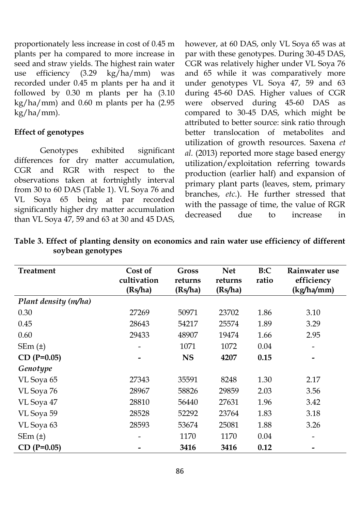proportionately less increase in cost of 0.45 m plants per ha compared to more increase in seed and straw yields. The highest rain water use efficiency (3.29 kg/ha/mm) was recorded under 0.45 m plants per ha and it followed by 0.30 m plants per ha (3.10 kg/ha/mm) and 0.60 m plants per ha (2.95 kg/ha/mm).

#### **Effect of genotypes**

Genotypes exhibited significant differences for dry matter accumulation, CGR and RGR with respect to the observations taken at fortnightly interval from 30 to 60 DAS (Table 1). VL Soya 76 and VL Soya 65 being at par recorded significantly higher dry matter accumulation than VL Soya 47, 59 and 63 at 30 and 45 DAS,

however, at 60 DAS, only VL Soya 65 was at par with these genotypes. During 30-45 DAS, CGR was relatively higher under VL Soya 76 and 65 while it was comparatively more under genotypes VL Soya 47, 59 and 63 during 45-60 DAS. Higher values of CGR were observed during 45-60 DAS as compared to 30-45 DAS, which might be attributed to better source: sink ratio through better translocation of metabolites and utilization of growth resources. Saxena *et al.* (2013) reported more stage based energy utilization/exploitation referring towards production (earlier half) and expansion of primary plant parts (leaves, stem, primary branches, *etc*.). He further stressed that with the passage of time, the value of RGR decreased due to increase in

| Treatment            | Cost of<br>cultivation<br>(Rs/ha) | <b>Gross</b><br>returns<br>(Rs/ha) | <b>Net</b><br>returns<br>(Rs/ha) | B:C<br>ratio | Rainwater use<br>efficiency<br>(kg/ha/mm) |
|----------------------|-----------------------------------|------------------------------------|----------------------------------|--------------|-------------------------------------------|
| Plant density (m/ha) |                                   |                                    |                                  |              |                                           |
| 0.30                 | 27269                             | 50971                              | 23702                            | 1.86         | 3.10                                      |
| 0.45                 | 28643                             | 54217                              | 25574                            | 1.89         | 3.29                                      |
| 0.60                 | 29433                             | 48907                              | 19474                            | 1.66         | 2.95                                      |
| SEM(t)               |                                   | 1071                               | 1072                             | 0.04         |                                           |
| $CD (P=0.05)$        |                                   | <b>NS</b>                          | 4207                             | 0.15         |                                           |
| Genotype             |                                   |                                    |                                  |              |                                           |
| VL Soya 65           | 27343                             | 35591                              | 8248                             | 1.30         | 2.17                                      |
| VL Soya 76           | 28967                             | 58826                              | 29859                            | 2.03         | 3.56                                      |
| VL Soya 47           | 28810                             | 56440                              | 27631                            | 1.96         | 3.42                                      |
| VL Soya 59           | 28528                             | 52292                              | 23764                            | 1.83         | 3.18                                      |
| VL Soya 63           | 28593                             | 53674                              | 25081                            | 1.88         | 3.26                                      |
| $SEm(\pm)$           |                                   | 1170                               | 1170                             | 0.04         |                                           |
| $CD (P=0.05)$        |                                   | 3416                               | 3416                             | 0.12         |                                           |

**Table 3. Effect of planting density on economics and rain water use efficiency of different soybean genotypes**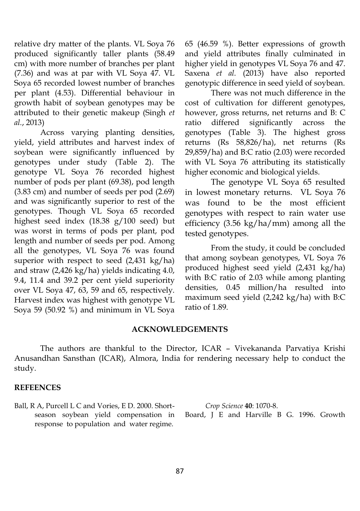relative dry matter of the plants. VL Soya 76 produced significantly taller plants (58.49 cm) with more number of branches per plant (7.36) and was at par with VL Soya 47. VL Soya 65 recorded lowest number of branches per plant (4.53). Differential behaviour in growth habit of soybean genotypes may be attributed to their genetic makeup (Singh *et al.*, 2013)

Across varying planting densities, yield, yield attributes and harvest index of soybean were significantly influenced by genotypes under study (Table 2). The genotype VL Soya 76 recorded highest number of pods per plant (69.38), pod length (3.83 cm) and number of seeds per pod (2.69) and was significantly superior to rest of the genotypes. Though VL Soya 65 recorded highest seed index (18.38 g/100 seed) but was worst in terms of pods per plant, pod length and number of seeds per pod. Among all the genotypes, VL Soya 76 was found superior with respect to seed (2,431 kg/ha) and straw (2,426 kg/ha) yields indicating 4.0, 9.4, 11.4 and 39.2 per cent yield superiority over VL Soya 47, 63, 59 and 65, respectively. Harvest index was highest with genotype VL Soya 59 (50.92 %) and minimum in VL Soya

65 (46.59 %). Better expressions of growth and yield attributes finally culminated in higher yield in genotypes VL Soya 76 and 47. Saxena *et al.* (2013) have also reported genotypic difference in seed yield of soybean.

There was not much difference in the cost of cultivation for different genotypes, however, gross returns, net returns and B: C ratio differed significantly across the genotypes (Table 3). The highest gross returns (Rs 58,826/ha), net returns (Rs 29,859/ha) and B:C ratio (2.03) were recorded with VL Soya 76 attributing its statistically higher economic and biological yields.

The genotype VL Soya 65 resulted in lowest monetary returns. VL Soya 76 was found to be the most efficient genotypes with respect to rain water use efficiency (3.56 kg/ha/mm) among all the tested genotypes.

From the study, it could be concluded that among soybean genotypes, VL Soya 76 produced highest seed yield (2,431 kg/ha) with B:C ratio of 2.03 while among planting densities, 0.45 million/ha resulted into maximum seed yield (2,242 kg/ha) with B:C ratio of 1.89.

#### **ACKNOWLEDGEMENTS**

The authors are thankful to the Director, ICAR – Vivekananda Parvatiya Krishi Anusandhan Sansthan (ICAR), Almora, India for rendering necessary help to conduct the study.

#### **REFEENCES**

Ball, R A, Purcell L C and Vories, E D. 2000. Shortseason soybean yield compensation in response to population and water regime.

*Crop Science* **40**: 1070-8.

Board, J E and Harville B G. 1996. Growth